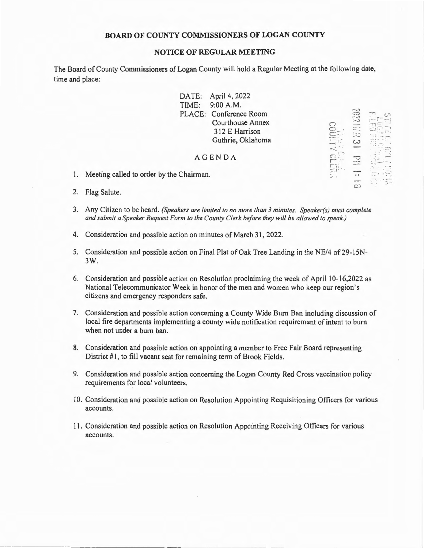## **BOARD OF COUNTY COMMISSIONERS OF LOGAN COUNTY**

## **NOTICE OF REGULAR MEETING**

The Board of County Commissioners of Logan County will hold a Regular Meeting at the following date, time and place:

> DATE: April 4, 2022 TIME: 9:00 A.M. PLACE: Conference Room Courthouse Annex 3 12 E Harrison Guthrie, Oklahoma

> > $\ddot{\leq}$  $E_{\rm r}$ **-···1 .** - .

 $111131$  IE 81.11730

 $\cdot$   $\sim$ 

## AGENDA

- 1. Meeting called to order by the Chairman.
- 2. Flag Salute.
- 3. Any Citizen to be heard. *(Speakers are limited to no more than 3 minutes. Speaker(s) must complete and submit a Speaker Request Form to the County Clerk before they will be allowed to speak.)*
- 4. Consideration and possible action on minutes of March 31, 2022.
- 5. Consideration and possible action on Final Plat of Oak Tree Landing in the NE/4 of 29-15N-3W.
- 6. Consideration and possible action on Resolution proclaiming the week of April 10-16,2022 as National Telecommunicator Week in honor of the men and women who keep our region 's citizens and emergency responders safe.
- 7. Consideration and possible action concerning a County Wide Burn Ban including discussion of local fire departments implementing a county wide notification requirement of intent to burn when not under a burn ban.
- 8. Consideration and possible action on appointing a member to Free Fair Board representing District #1, to fill vacant seat for remaining term of Brook Fields.
- 9. Consideration and possible action concerning the Logan County Red Cross vaccination policy requirements for local volunteers.
- 10. Consideration and possible action on Resolution Appointing Requisitioning Officers for various accounts.
- 11. Consideration and possible action on Resolution Appointing Receiving Officers for various accounts.